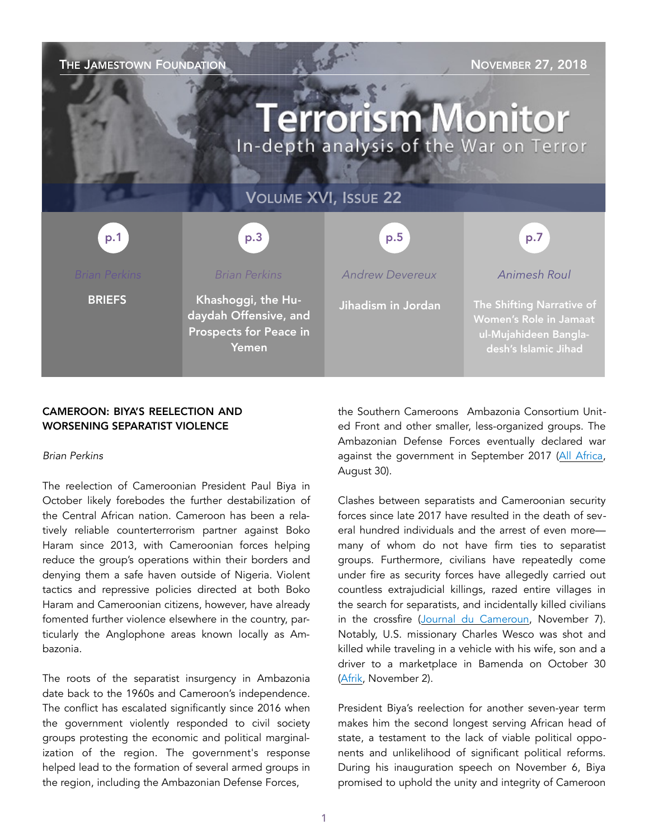| THE JAMESTOWN FOUNDATION<br><b>NOVEMBER 27, 2018</b><br><b>Terrorism Monitor</b><br>In-depth analysis of the War on Terror |                                                                                       |                        |                                                                                                             |
|----------------------------------------------------------------------------------------------------------------------------|---------------------------------------------------------------------------------------|------------------------|-------------------------------------------------------------------------------------------------------------|
| <b>VOLUME XVI, ISSUE 22</b>                                                                                                |                                                                                       |                        |                                                                                                             |
| p.1                                                                                                                        | p.3                                                                                   | p.5                    | p.7                                                                                                         |
| <b>Brian Perkins</b>                                                                                                       | <b>Brian Perkins</b>                                                                  | <b>Andrew Devereux</b> | <b>Animesh Roul</b>                                                                                         |
| <b>BRIEFS</b>                                                                                                              | Khashoggi, the Hu-<br>daydah Offensive, and<br><b>Prospects for Peace in</b><br>Yemen | Jihadism in Jordan     | The Shifting Narrative of<br><b>Women's Role in Jamaat</b><br>ul-Mujahideen Bangla-<br>desh's Islamic Jihad |

# CAMEROON: BIYA'S REELECTION AND WORSENING SEPARATIST VIOLENCE

#### *Brian Perkins*

The reelection of Cameroonian President Paul Biya in October likely forebodes the further destabilization of the Central African nation. Cameroon has been a relatively reliable counterterrorism partner against Boko Haram since 2013, with Cameroonian forces helping reduce the group's operations within their borders and denying them a safe haven outside of Nigeria. Violent tactics and repressive policies directed at both Boko Haram and Cameroonian citizens, however, have already fomented further violence elsewhere in the country, particularly the Anglophone areas known locally as Ambazonia.

The roots of the separatist insurgency in Ambazonia date back to the 1960s and Cameroon's independence. The conflict has escalated significantly since 2016 when the government violently responded to civil society groups protesting the economic and political marginalization of the region. The government's response helped lead to the formation of several armed groups in the region, including the Ambazonian Defense Forces,

the Southern Cameroons Ambazonia Consortium United Front and other smaller, less-organized groups. The Ambazonian Defense Forces eventually declared war against the government in September 2017 ([All Africa,](https://allafrica.com/stories/201808310256.html) August 30).

Clashes between separatists and Cameroonian security forces since late 2017 have resulted in the death of several hundred individuals and the arrest of even more many of whom do not have firm ties to separatist groups. Furthermore, civilians have repeatedly come under fire as security forces have allegedly carried out countless extrajudicial killings, razed entire villages in the search for separatists, and incidentally killed civilians in the crossfire [\(Journal du Cameroun,](https://www.journalducameroun.com/en/us-tasks-cameroon-govt-separatists-to-halt-atrocities-on-civilians/) November 7). Notably, U.S. missionary Charles Wesco was shot and killed while traveling in a vehicle with his wife, son and a driver to a marketplace in Bamenda on October 30 ([Afrik,](https://www.afrik.com/cameroun-crise-anglophone-un-missionnaire-americain-tue) November 2).

President Biya's reelection for another seven-year term makes him the second longest serving African head of state, a testament to the lack of viable political opponents and unlikelihood of significant political reforms. During his inauguration speech on November 6, Biya promised to uphold the unity and integrity of Cameroon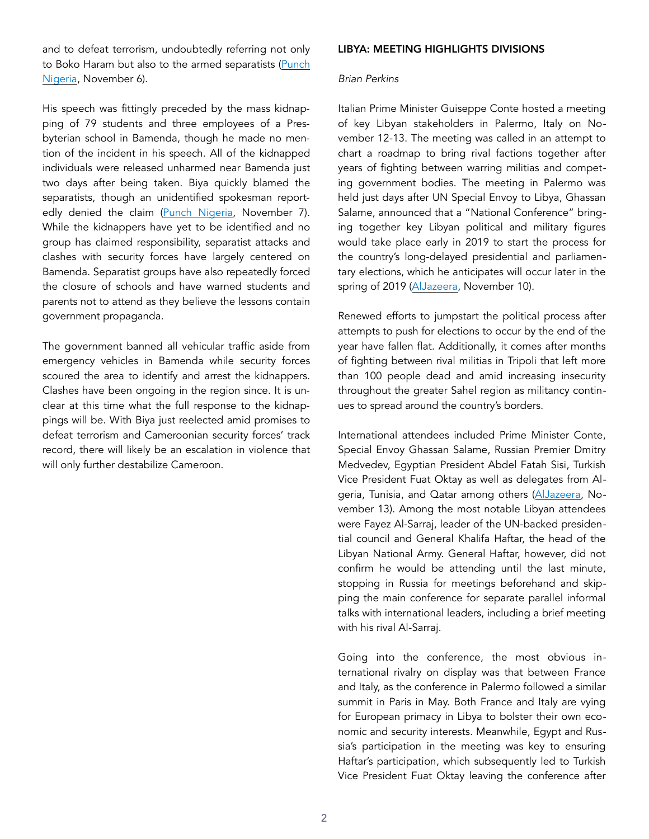and to defeat terrorism, undoubtedly referring not only to Boko Haram but also to the armed separatists (Punch [Nigeria,](https://punchng.com/cameroons-85-year-old-president-biya-sworn-in-for-seventh-term-of-seven-years/) November 6).

His speech was fittingly preceded by the mass kidnapping of 79 students and three employees of a Presbyterian school in Bamenda, though he made no mention of the incident in his speech. All of the kidnapped individuals were released unharmed near Bamenda just two days after being taken. Biya quickly blamed the separatists, though an unidentified spokesman report-edly denied the claim ([Punch Nigeria,](https://punchng.com/breaking-79-abducted-pupils-freed-in-cameroon/) November 7). While the kidnappers have yet to be identified and no group has claimed responsibility, separatist attacks and clashes with security forces have largely centered on Bamenda. Separatist groups have also repeatedly forced the closure of schools and have warned students and parents not to attend as they believe the lessons contain government propaganda.

The government banned all vehicular traffic aside from emergency vehicles in Bamenda while security forces scoured the area to identify and arrest the kidnappers. Clashes have been ongoing in the region since. It is unclear at this time what the full response to the kidnappings will be. With Biya just reelected amid promises to defeat terrorism and Cameroonian security forces' track record, there will likely be an escalation in violence that will only further destabilize Cameroon.

#### LIBYA: MEETING HIGHLIGHTS DIVISIONS

#### *Brian Perkins*

Italian Prime Minister Guiseppe Conte hosted a meeting of key Libyan stakeholders in Palermo, Italy on November 12-13. The meeting was called in an attempt to chart a roadmap to bring rival factions together after years of fighting between warring militias and competing government bodies. The meeting in Palermo was held just days after UN Special Envoy to Libya, Ghassan Salame, announced that a "National Conference" bringing together key Libyan political and military figures would take place early in 2019 to start the process for the country's long-delayed presidential and parliamentary elections, which he anticipates will occur later in the spring of 2019 ([AlJazeera,](https://www.aljazeera.com/news/2018/11/libya-rivals-key-players-discuss-election-plan-italy-talks-181110135756332.html) November 10).

Renewed efforts to jumpstart the political process after attempts to push for elections to occur by the end of the year have fallen flat. Additionally, it comes after months of fighting between rival militias in Tripoli that left more than 100 people dead and amid increasing insecurity throughout the greater Sahel region as militancy continues to spread around the country's borders.

International attendees included Prime Minister Conte, Special Envoy Ghassan Salame, Russian Premier Dmitry Medvedev, Egyptian President Abdel Fatah Sisi, Turkish Vice President Fuat Oktay as well as delegates from Algeria, Tunisia, and Qatar among others ([AlJazeera,](https://www.aljazeera.com/news/2018/11/italy-libya-talks-commitments-joint-statement-181113195007538.html) November 13). Among the most notable Libyan attendees were Fayez Al-Sarraj, leader of the UN-backed presidential council and General Khalifa Haftar, the head of the Libyan National Army. General Haftar, however, did not confirm he would be attending until the last minute, stopping in Russia for meetings beforehand and skipping the main conference for separate parallel informal talks with international leaders, including a brief meeting with his rival Al-Sarraj.

Going into the conference, the most obvious international rivalry on display was that between France and Italy, as the conference in Palermo followed a similar summit in Paris in May. Both France and Italy are vying for European primacy in Libya to bolster their own economic and security interests. Meanwhile, Egypt and Russia's participation in the meeting was key to ensuring Haftar's participation, which subsequently led to Turkish Vice President Fuat Oktay leaving the conference after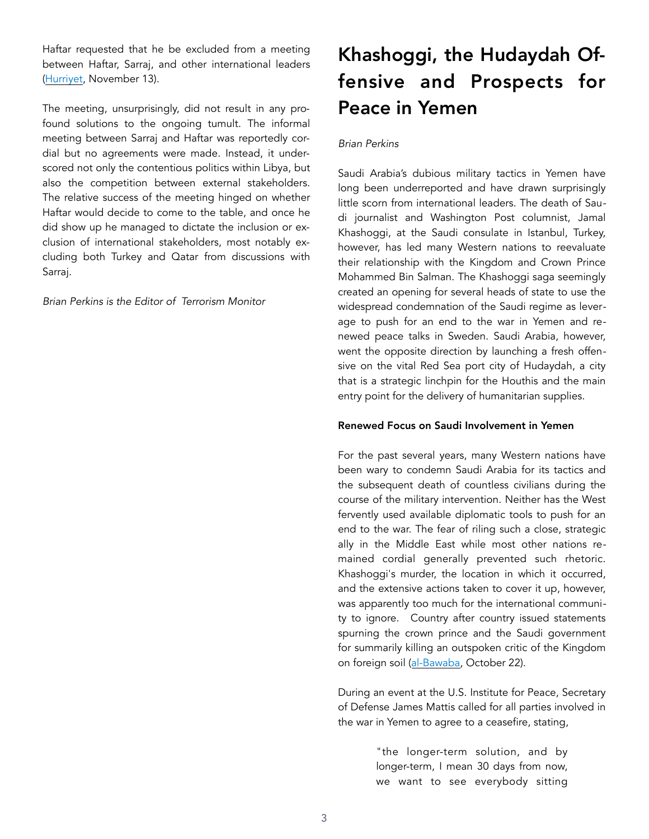Haftar requested that he be excluded from a meeting between Haftar, Sarraj, and other international leaders ([Hurriyet](http://www.hurriyetdailynews.com/turkeys-vice-president-oktay-storms-out-of-libya-conference-in-italy-138837), November 13).

The meeting, unsurprisingly, did not result in any profound solutions to the ongoing tumult. The informal meeting between Sarraj and Haftar was reportedly cordial but no agreements were made. Instead, it underscored not only the contentious politics within Libya, but also the competition between external stakeholders. The relative success of the meeting hinged on whether Haftar would decide to come to the table, and once he did show up he managed to dictate the inclusion or exclusion of international stakeholders, most notably excluding both Turkey and Qatar from discussions with Sarraj.

*Brian Perkins is the Editor of Terrorism Monitor* 

# Khashoggi, the Hudaydah Offensive and Prospects for Peace in Yemen

# *Brian Perkins*

Saudi Arabia's dubious military tactics in Yemen have long been underreported and have drawn surprisingly little scorn from international leaders. The death of Saudi journalist and Washington Post columnist, Jamal Khashoggi, at the Saudi consulate in Istanbul, Turkey, however, has led many Western nations to reevaluate their relationship with the Kingdom and Crown Prince Mohammed Bin Salman. The Khashoggi saga seemingly created an opening for several heads of state to use the widespread condemnation of the Saudi regime as leverage to push for an end to the war in Yemen and renewed peace talks in Sweden. Saudi Arabia, however, went the opposite direction by launching a fresh offensive on the vital Red Sea port city of Hudaydah, a city that is a strategic linchpin for the Houthis and the main entry point for the delivery of humanitarian supplies.

# Renewed Focus on Saudi Involvement in Yemen

For the past several years, many Western nations have been wary to condemn Saudi Arabia for its tactics and the subsequent death of countless civilians during the course of the military intervention. Neither has the West fervently used available diplomatic tools to push for an end to the war. The fear of riling such a close, strategic ally in the Middle East while most other nations remained cordial generally prevented such rhetoric. Khashoggi's murder, the location in which it occurred, and the extensive actions taken to cover it up, however, was apparently too much for the international community to ignore. Country after country issued statements spurning the crown prince and the Saudi government for summarily killing an outspoken critic of the Kingdom on foreign soil [\(al-Bawaba](https://www.albawaba.com/news/canada-australia-and-new-zealand-condemn-khashoggi-murder-1203018), October 22).

During an event at the U.S. Institute for Peace, Secretary of Defense James Mattis called for all parties involved in the war in Yemen to agree to a ceasefire, stating,

> "the longer-term solution, and by longer-term, I mean 30 days from now, we want to see everybody sitting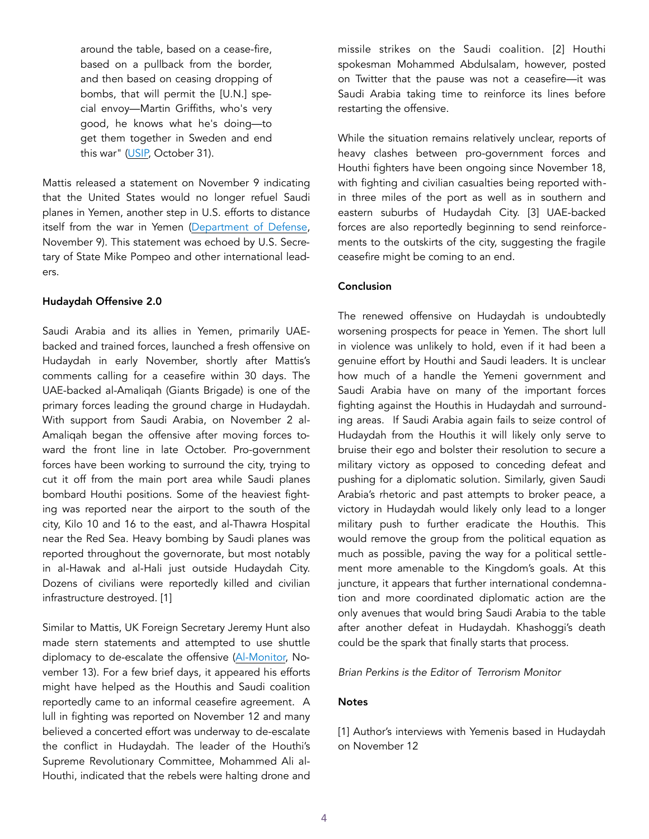around the table, based on a cease-fire, based on a pullback from the border, and then based on ceasing dropping of bombs, that will permit the [U.N.] special envoy—Martin Griffiths, who's very good, he knows what he's doing—to get them together in Sweden and end this war" ([USIP,](https://www.usip.org/publications/2018/10/james-mattis-yemen-needs-truce-within-30-days) October 31).

Mattis released a statement on November 9 indicating that the United States would no longer refuel Saudi planes in Yemen, another step in U.S. efforts to distance itself from the war in Yemen ([Department of Defense,](https://dod.defense.gov/News/News-Releases/News-Release-View/Article/1688151/statement-by-secretary-of-defense-james-n-mattis-on-refueling-saudi-coalition-a/) November 9). This statement was echoed by U.S. Secretary of State Mike Pompeo and other international leaders.

#### Hudaydah Offensive 2.0

Saudi Arabia and its allies in Yemen, primarily UAEbacked and trained forces, launched a fresh offensive on Hudaydah in early November, shortly after Mattis's comments calling for a ceasefire within 30 days. The UAE-backed al-Amaliqah (Giants Brigade) is one of the primary forces leading the ground charge in Hudaydah. With support from Saudi Arabia, on November 2 al-Amaliqah began the offensive after moving forces toward the front line in late October. Pro-government forces have been working to surround the city, trying to cut it off from the main port area while Saudi planes bombard Houthi positions. Some of the heaviest fighting was reported near the airport to the south of the city, Kilo 10 and 16 to the east, and al-Thawra Hospital near the Red Sea. Heavy bombing by Saudi planes was reported throughout the governorate, but most notably in al-Hawak and al-Hali just outside Hudaydah City. Dozens of civilians were reportedly killed and civilian infrastructure destroyed. [1]

Similar to Mattis, UK Foreign Secretary Jeremy Hunt also made stern statements and attempted to use shuttle diplomacy to de-escalate the offensive [\(Al-Monitor,](https://www.al-monitor.com/pulse/originals/2018/11/intel-ceasefire-deal-yemen-suffering.html) November 13). For a few brief days, it appeared his efforts might have helped as the Houthis and Saudi coalition reportedly came to an informal ceasefire agreement. A lull in fighting was reported on November 12 and many believed a concerted effort was underway to de-escalate the conflict in Hudaydah. The leader of the Houthi's Supreme Revolutionary Committee, Mohammed Ali al-Houthi, indicated that the rebels were halting drone and

missile strikes on the Saudi coalition. [2] Houthi spokesman Mohammed Abdulsalam, however, posted on Twitter that the pause was not a ceasefire—it was Saudi Arabia taking time to reinforce its lines before restarting the offensive.

While the situation remains relatively unclear, reports of heavy clashes between pro-government forces and Houthi fighters have been ongoing since November 18, with fighting and civilian casualties being reported within three miles of the port as well as in southern and eastern suburbs of Hudaydah City. [3] UAE-backed forces are also reportedly beginning to send reinforcements to the outskirts of the city, suggesting the fragile ceasefire might be coming to an end.

# **Conclusion**

The renewed offensive on Hudaydah is undoubtedly worsening prospects for peace in Yemen. The short lull in violence was unlikely to hold, even if it had been a genuine effort by Houthi and Saudi leaders. It is unclear how much of a handle the Yemeni government and Saudi Arabia have on many of the important forces fighting against the Houthis in Hudaydah and surrounding areas. If Saudi Arabia again fails to seize control of Hudaydah from the Houthis it will likely only serve to bruise their ego and bolster their resolution to secure a military victory as opposed to conceding defeat and pushing for a diplomatic solution. Similarly, given Saudi Arabia's rhetoric and past attempts to broker peace, a victory in Hudaydah would likely only lead to a longer military push to further eradicate the Houthis. This would remove the group from the political equation as much as possible, paving the way for a political settlement more amenable to the Kingdom's goals. At this juncture, it appears that further international condemnation and more coordinated diplomatic action are the only avenues that would bring Saudi Arabia to the table after another defeat in Hudaydah. Khashoggi's death could be the spark that finally starts that process.

*Brian Perkins is the Editor of Terrorism Monitor* 

#### **Notes**

[1] Author's interviews with Yemenis based in Hudaydah on November 12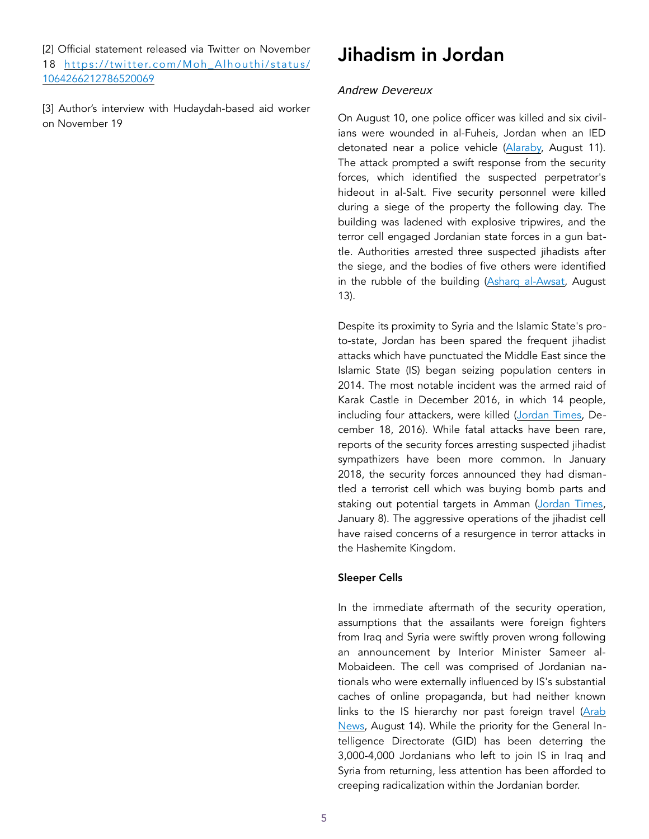[2] Official statement released via Twitter on November [18 https://twitter.com/Moh\\_Alhouthi/status/](https://twitter.com/Moh_Alhouthi/status/1064266212786520069) [1064266212786520069](https://twitter.com/Moh_Alhouthi/status/1064266212786520069)

[3] Author's interview with Hudaydah-based aid worker on November 19

# Jihadism in Jordan

# *Andrew Devereux*

On August 10, one police officer was killed and six civilians were wounded in al-Fuheis, Jordan when an IED detonated near a police vehicle ([Alaraby,](https://www.alaraby.co.uk/english/news/2018/8/11/jordan-blast-leaves-one-sergeant-dead-six-injured) August 11). The attack prompted a swift response from the security forces, which identified the suspected perpetrator's hideout in al-Salt. Five security personnel were killed during a siege of the property the following day. The building was ladened with explosive tripwires, and the terror cell engaged Jordanian state forces in a gun battle. Authorities arrested three suspected jihadists after the siege, and the bodies of five others were identified in the rubble of the building ([Asharq al-Awsat,](https://aawsat.com/english/home/article/1360261/several-wounded-jordan-security-forces-raid-terrorist-cell-al-salt) August 13).

Despite its proximity to Syria and the Islamic State's proto-state, Jordan has been spared the frequent jihadist attacks which have punctuated the Middle East since the Islamic State (IS) began seizing population centers in 2014. The most notable incident was the armed raid of Karak Castle in December 2016, in which 14 people, including four attackers, were killed ([Jordan Times,](http://www.jordantimes.com/news/local/death-toll-karak-attacks-rises-14-including-four-terrorists) December 18, 2016). While fatal attacks have been rare, reports of the security forces arresting suspected jihadist sympathizers have been more common. In January 2018, the security forces announced they had dismantled a terrorist cell which was buying bomb parts and staking out potential targets in Amman ([Jordan Times,](http://jordantimes.com/news/local/jordan-foils-major-terror-plot) January 8). The aggressive operations of the jihadist cell have raised concerns of a resurgence in terror attacks in the Hashemite Kingdom.

# Sleeper Cells

In the immediate aftermath of the security operation, assumptions that the assailants were foreign fighters from Iraq and Syria were swiftly proven wrong following an announcement by Interior Minister Sameer al-Mobaideen. The cell was comprised of Jordanian nationals who were externally influenced by IS's substantial caches of online propaganda, but had neither known links to the IS hierarchy nor past foreign travel ([Arab](http://www.arabnews.com/node/1356006/middle-east)  [News,](http://www.arabnews.com/node/1356006/middle-east) August 14). While the priority for the General Intelligence Directorate (GID) has been deterring the 3,000-4,000 Jordanians who left to join IS in Iraq and Syria from returning, less attention has been afforded to creeping radicalization within the Jordanian border.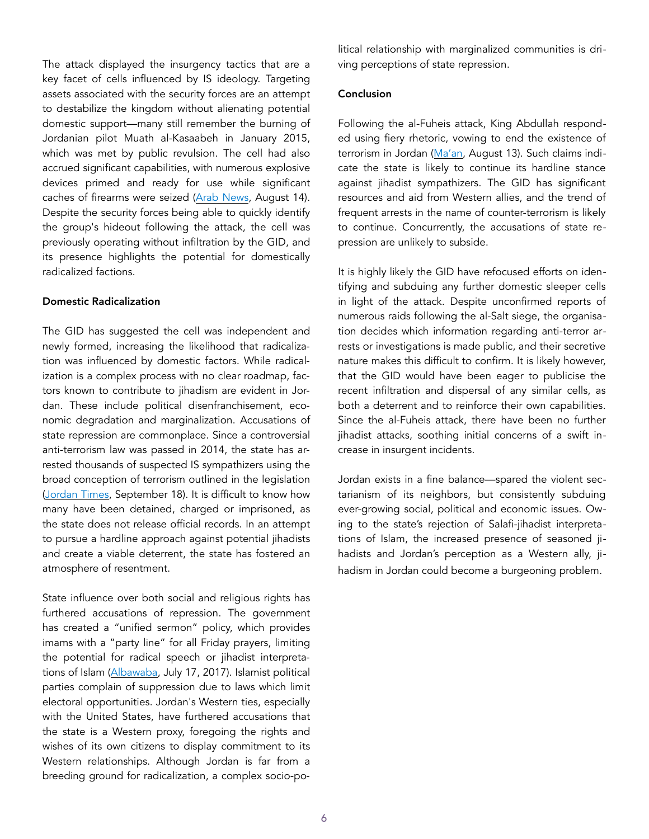The attack displayed the insurgency tactics that are a key facet of cells influenced by IS ideology. Targeting assets associated with the security forces are an attempt to destabilize the kingdom without alienating potential domestic support—many still remember the burning of Jordanian pilot Muath al-Kasaabeh in January 2015, which was met by public revulsion. The cell had also accrued significant capabilities, with numerous explosive devices primed and ready for use while significant caches of firearms were seized ([Arab News,](http://www.arabnews.com/node/1356006/middle-east) August 14). Despite the security forces being able to quickly identify the group's hideout following the attack, the cell was previously operating without infiltration by the GID, and its presence highlights the potential for domestically radicalized factions.

#### Domestic Radicalization

The GID has suggested the cell was independent and newly formed, increasing the likelihood that radicalization was influenced by domestic factors. While radicalization is a complex process with no clear roadmap, factors known to contribute to jihadism are evident in Jordan. These include political disenfranchisement, economic degradation and marginalization. Accusations of state repression are commonplace. Since a controversial anti-terrorism law was passed in 2014, the state has arrested thousands of suspected IS sympathizers using the broad conception of terrorism outlined in the legislation ([Jordan Times,](http://jordantimes.com/news/local/human-rights-reports-highlight-lack-implementation-main-barrier-reform) September 18). It is difficult to know how many have been detained, charged or imprisoned, as the state does not release official records. In an attempt to pursue a hardline approach against potential jihadists and create a viable deterrent, the state has fostered an atmosphere of resentment.

State influence over both social and religious rights has furthered accusations of repression. The government has created a "unified sermon" policy, which provides imams with a "party line" for all Friday prayers, limiting the potential for radical speech or jihadist interpretations of Islam [\(Albawaba,](https://www.albawaba.com/news/anonymous-source-half-mosques-jordan-without-imam-998328) July 17, 2017). Islamist political parties complain of suppression due to laws which limit electoral opportunities. Jordan's Western ties, especially with the United States, have furthered accusations that the state is a Western proxy, foregoing the rights and wishes of its own citizens to display commitment to its Western relationships. Although Jordan is far from a breeding ground for radicalization, a complex socio-political relationship with marginalized communities is driving perceptions of state repression.

### Conclusion

Following the al-Fuheis attack, King Abdullah responded using fiery rhetoric, vowing to end the existence of terrorism in Jordan ([Ma'an,](https://www.maannews.com/Content.aspx?id=780687) August 13). Such claims indicate the state is likely to continue its hardline stance against jihadist sympathizers. The GID has significant resources and aid from Western allies, and the trend of frequent arrests in the name of counter-terrorism is likely to continue. Concurrently, the accusations of state repression are unlikely to subside.

It is highly likely the GID have refocused efforts on identifying and subduing any further domestic sleeper cells in light of the attack. Despite unconfirmed reports of numerous raids following the al-Salt siege, the organisation decides which information regarding anti-terror arrests or investigations is made public, and their secretive nature makes this difficult to confirm. It is likely however, that the GID would have been eager to publicise the recent infiltration and dispersal of any similar cells, as both a deterrent and to reinforce their own capabilities. Since the al-Fuheis attack, there have been no further jihadist attacks, soothing initial concerns of a swift increase in insurgent incidents.

Jordan exists in a fine balance—spared the violent sectarianism of its neighbors, but consistently subduing ever-growing social, political and economic issues. Owing to the state's rejection of Salafi-jihadist interpretations of Islam, the increased presence of seasoned jihadists and Jordan's perception as a Western ally, jihadism in Jordan could become a burgeoning problem.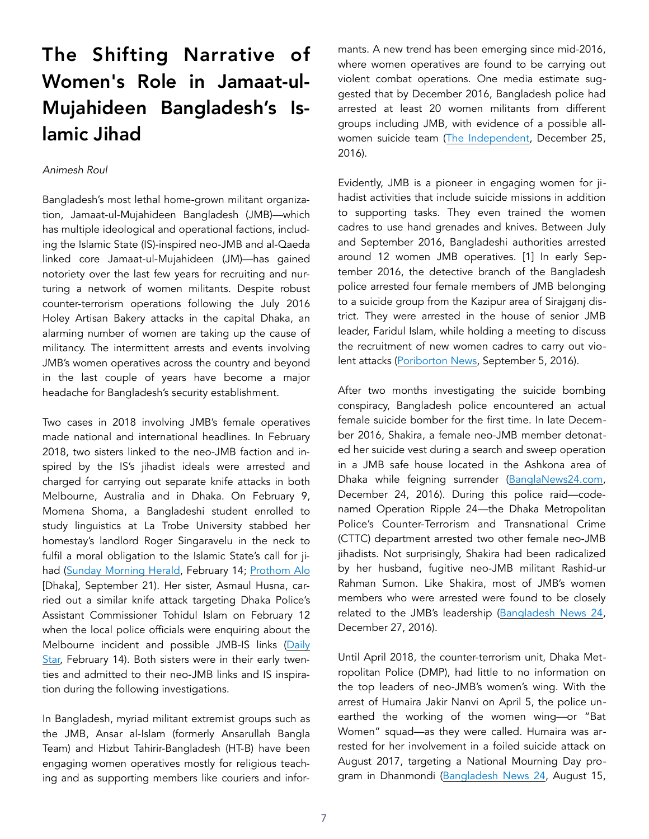# The Shifting Narrative of Women's Role in Jamaat-ul-Mujahideen Bangladesh's Islamic Jihad

#### *Animesh Roul*

Bangladesh's most lethal home-grown militant organization, Jamaat-ul-Mujahideen Bangladesh (JMB)—which has multiple ideological and operational factions, including the Islamic State (IS)-inspired neo-JMB and al-Qaeda linked core Jamaat-ul-Mujahideen (JM)—has gained notoriety over the last few years for recruiting and nurturing a network of women militants. Despite robust counter-terrorism operations following the July 2016 Holey Artisan Bakery attacks in the capital Dhaka, an alarming number of women are taking up the cause of militancy. The intermittent arrests and events involving JMB's women operatives across the country and beyond in the last couple of years have become a major headache for Bangladesh's security establishment.

Two cases in 2018 involving JMB's female operatives made national and international headlines. In February 2018, two sisters linked to the neo-JMB faction and inspired by the IS's jihadist ideals were arrested and charged for carrying out separate knife attacks in both Melbourne, Australia and in Dhaka. On February 9, Momena Shoma, a Bangladeshi student enrolled to study linguistics at La Trobe University stabbed her homestay's landlord Roger Singaravelu in the neck to fulfil a moral obligation to the Islamic State's call for jihad ([Sunday Morning Herald,](https://www.smh.com.au/world/asia/alleged-melbourne-attacker-s-sister-knifed-policeman-dhaka-police-20180214-p4z0ae.html) February 14; [Prothom Alo](https://en.prothomalo.com/bangladesh/news/183746/Bangladeshi-girl-pleads-guilty-to-knifing) [Dhaka], September 21). Her sister, Asmaul Husna, carried out a similar knife attack targeting Dhaka Police's Assistant Commissioner Tohidul Islam on February 12 when the local police officials were enquiring about the Melbourne incident and possible JMB-IS links [\(Daily](https://www.thedailystar.net/city/cop-comes-under-knife-attack-1534435)  [Star,](https://www.thedailystar.net/city/cop-comes-under-knife-attack-1534435) February 14). Both sisters were in their early twenties and admitted to their neo-JMB links and IS inspiration during the following investigations.

In Bangladesh, myriad militant extremist groups such as the JMB, Ansar al-Islam (formerly Ansarullah Bangla Team) and Hizbut Tahirir-Bangladesh (HT-B) have been engaging women operatives mostly for religious teaching and as supporting members like couriers and informants. A new trend has been emerging since mid-2016, where women operatives are found to be carrying out violent combat operations. One media estimate suggested that by December 2016, Bangladesh police had arrested at least 20 women militants from different groups including JMB, with evidence of a possible allwomen suicide team ([The Independent,](http://www.theindependentbd.com/home/printnews/73780) December 25, 2016).

Evidently, JMB is a pioneer in engaging women for jihadist activities that include suicide missions in addition to supporting tasks. They even trained the women cadres to use hand grenades and knives. Between July and September 2016, Bangladeshi authorities arrested around 12 women JMB operatives. [1] In early September 2016, the detective branch of the Bangladesh police arrested four female members of JMB belonging to a suicide group from the Kazipur area of Sirajganj district. They were arrested in the house of senior JMB leader, Faridul Islam, while holding a meeting to discuss the recruitment of new women cadres to carry out vio-lent attacks ([Poriborton News](http://en.poriborton.com/bangladesh/988/4-women-from-JMB-suicide-squad-arrested-in-Sirajganj), September 5, 2016).

After two months investigating the suicide bombing conspiracy, Bangladesh police encountered an actual female suicide bomber for the first time. In late December 2016, Shakira, a female neo-JMB member detonated her suicide vest during a search and sweep operation in a JMB safe house located in the Ashkona area of Dhaka while feigning surrender [\(BanglaNews24.com,](https://www.banglanews24.com/national/article/58254/2-militants-killed-in-blasts-4-surrender) December 24, 2016). During this police raid—codenamed Operation Ripple 24—the Dhaka Metropolitan Police's Counter-Terrorism and Transnational Crime (CTTC) department arrested two other female neo-JMB jihadists. Not surprisingly, Shakira had been radicalized by her husband, fugitive neo-JMB militant Rashid-ur Rahman Sumon. Like Shakira, most of JMB's women members who were arrested were found to be closely related to the JMB's leadership ([Bangladesh News 24,](https://bdnews24.com/bangladesh/2016/12/27/women-choose-militancy-due-to-pressure-from-husbands-police) December 27, 2016).

Until April 2018, the counter-terrorism unit, Dhaka Metropolitan Police (DMP), had little to no information on the top leaders of neo-JMB's women's wing. With the arrest of Humaira Jakir Nanvi on April 5, the police unearthed the working of the women wing—or "Bat Women" squad—as they were called. Humaira was arrested for her involvement in a foiled suicide attack on August 2017, targeting a National Mourning Day program in Dhanmondi ([Bangladesh News 24,](https://bdnews24.com/bangladesh/2017/08/15/dhaka-hotel-raid-foiled-attack-on-aug-15-mourners-says-igp-hoque) August 15,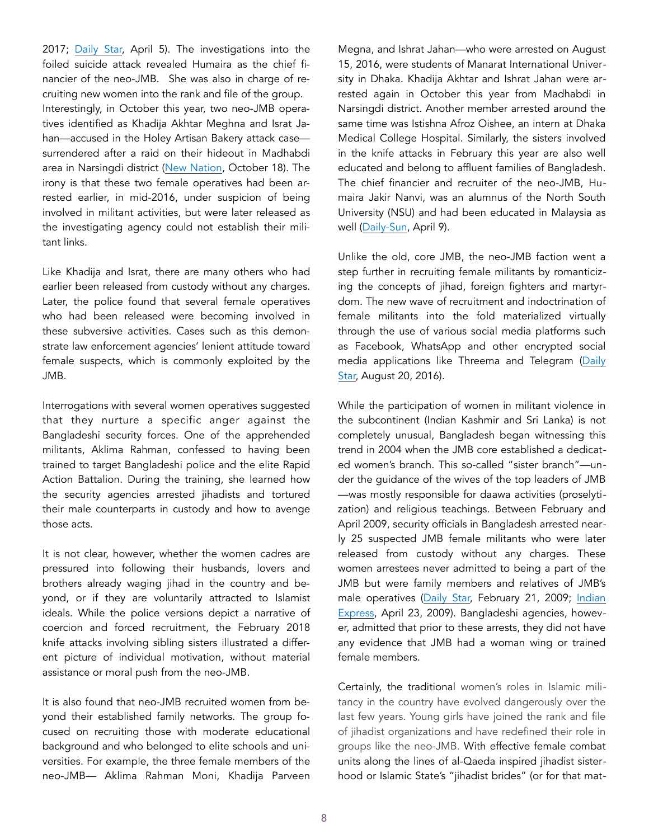2017; [Daily Star,](https://www.thedailystar.net/country/financier-august-15-national-mourning-day-in-bangladesh-attack-plot-arrested-1558552) April 5). The investigations into the foiled suicide attack revealed Humaira as the chief financier of the neo-JMB. She was also in charge of recruiting new women into the rank and file of the group. Interestingly, in October this year, two neo-JMB operatives identified as Khadija Akhtar Meghna and Israt Jahan—accused in the Holey Artisan Bakery attack case surrendered after a raid on their hideout in Madhabdi area in Narsingdi district ([New Nation,](http://thedailynewnation.com/news/192663/2-women-militants-surrender.html) October 18). The irony is that these two female operatives had been arrested earlier, in mid-2016, under suspicion of being involved in militant activities, but were later released as the investigating agency could not establish their militant links.

Like Khadija and Israt, there are many others who had earlier been released from custody without any charges. Later, the police found that several female operatives who had been released were becoming involved in these subversive activities. Cases such as this demonstrate law enforcement agencies' lenient attitude toward female suspects, which is commonly exploited by the JMB.

Interrogations with several women operatives suggested that they nurture a specific anger against the Bangladeshi security forces. One of the apprehended militants, Aklima Rahman, confessed to having been trained to target Bangladeshi police and the elite Rapid Action Battalion. During the training, she learned how the security agencies arrested jihadists and tortured their male counterparts in custody and how to avenge those acts.

It is not clear, however, whether the women cadres are pressured into following their husbands, lovers and brothers already waging jihad in the country and beyond, or if they are voluntarily attracted to Islamist ideals. While the police versions depict a narrative of coercion and forced recruitment, the February 2018 knife attacks involving sibling sisters illustrated a different picture of individual motivation, without material assistance or moral push from the neo-JMB.

It is also found that neo-JMB recruited women from beyond their established family networks. The group focused on recruiting those with moderate educational background and who belonged to elite schools and universities. For example, the three female members of the neo-JMB— Aklima Rahman Moni, Khadija Parveen Megna, and Ishrat Jahan—who were arrested on August 15, 2016, were students of Manarat International University in Dhaka. Khadija Akhtar and Ishrat Jahan were arrested again in October this year from Madhabdi in Narsingdi district. Another member arrested around the same time was Istishna Afroz Oishee, an intern at Dhaka Medical College Hospital. Similarly, the sisters involved in the knife attacks in February this year are also well educated and belong to affluent families of Bangladesh. The chief financier and recruiter of the neo-JMB, Humaira Jakir Nanvi, was an alumnus of the North South University (NSU) and had been educated in Malaysia as well ([Daily-Sun](http://www.daily-sun.com/printversion/details/300910/2018/04/09/NeoJMB-still-a-great-threat-), April 9).

Unlike the old, core JMB, the neo-JMB faction went a step further in recruiting female militants by romanticizing the concepts of jihad, foreign fighters and martyrdom. The new wave of recruitment and indoctrination of female militants into the fold materialized virtually through the use of various social media platforms such as Facebook, WhatsApp and other encrypted social media applications like Threema and Telegram (Daily [Star,](https://www.thedailystar.net/frontpage/tricking-women-militancy-1272679) August 20, 2016).

While the participation of women in militant violence in the subcontinent (Indian Kashmir and Sri Lanka) is not completely unusual, Bangladesh began witnessing this trend in 2004 when the JMB core established a dedicated women's branch. This so-called "sister branch"—under the guidance of the wives of the top leaders of JMB —was mostly responsible for daawa activities (proselytization) and religious teachings. Between February and April 2009, security officials in Bangladesh arrested nearly 25 suspected JMB female militants who were later released from custody without any charges. These women arrestees never admitted to being a part of the JMB but were family members and relatives of JMB's male operatives ([Daily Star,](https://www.thedailystar.net/news-detail-76813) February 21, 2009; [Indian](http://archive.indianexpress.com/news/21-women-militants-held-in-bangladesh-report/450414/)  [Express](http://archive.indianexpress.com/news/21-women-militants-held-in-bangladesh-report/450414/), April 23, 2009). Bangladeshi agencies, however, admitted that prior to these arrests, they did not have any evidence that JMB had a woman wing or trained female members.

Certainly, the traditional women's roles in Islamic militancy in the country have evolved dangerously over the last few years. Young girls have joined the rank and file of jihadist organizations and have redefined their role in groups like the neo-JMB. With effective female combat units along the lines of al-Qaeda inspired jihadist sisterhood or Islamic State's "jihadist brides" (or for that mat